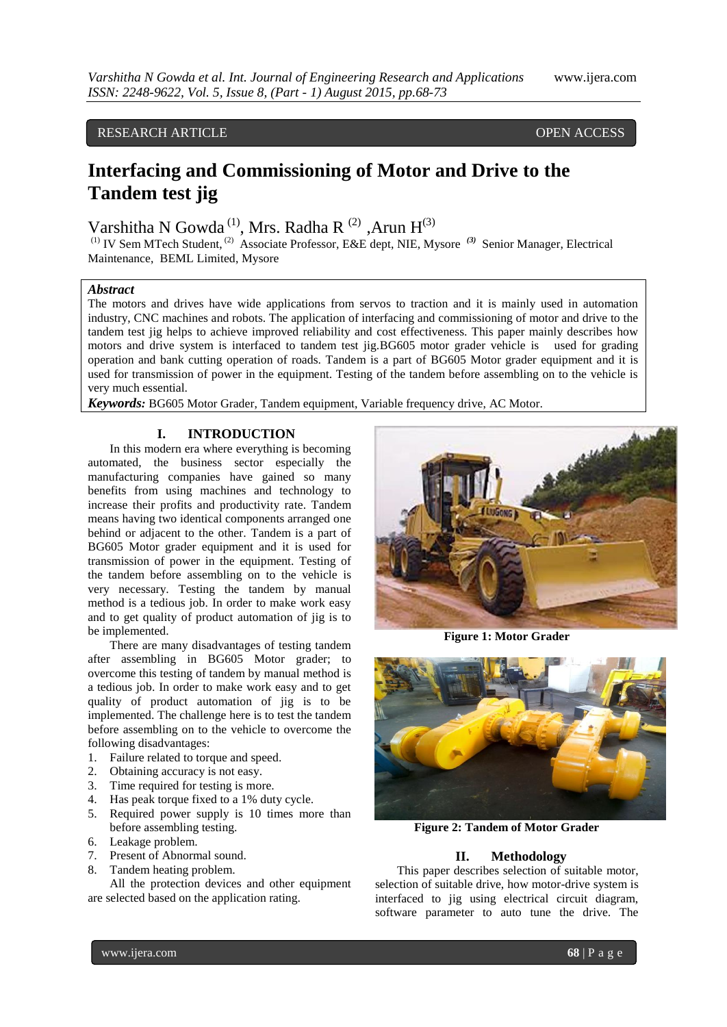# RESEARCH ARTICLE OPEN ACCESS

# **Interfacing and Commissioning of Motor and Drive to the Tandem test jig**

Varshitha N Gowda<sup>(1)</sup>, Mrs. Radha R<sup>(2)</sup>, Arun H<sup>(3)</sup>

(1) IV Sem MTech Student, (2) Associate Professor, E&E dept, NIE, Mysore *(3)* Senior Manager, Electrical Maintenance, BEML Limited, Mysore

# *Abstract*

The motors and drives have wide applications from servos to traction and it is mainly used in automation industry, CNC machines and robots. The application of interfacing and commissioning of motor and drive to the tandem test jig helps to achieve improved reliability and cost effectiveness. This paper mainly describes how motors and drive system is interfaced to tandem test jig.BG605 motor grader vehicle is used for grading operation and bank cutting operation of roads. Tandem is a part of BG605 Motor grader equipment and it is used for transmission of power in the equipment. Testing of the tandem before assembling on to the vehicle is very much essential.

*Keywords:* BG605 Motor Grader, Tandem equipment, Variable frequency drive, AC Motor.

# **I. INTRODUCTION**

In this modern era where everything is becoming automated, the business sector especially the manufacturing companies have gained so many benefits from using machines and technology to increase their profits and productivity rate. Tandem means having two identical components arranged one behind or adjacent to the other. Tandem is a part of BG605 Motor grader equipment and it is used for transmission of power in the equipment. Testing of the tandem before assembling on to the vehicle is very necessary. Testing the tandem by manual method is a tedious job. In order to make work easy and to get quality of product automation of jig is to be implemented.

There are many disadvantages of testing tandem after assembling in BG605 Motor grader; to overcome this testing of tandem by manual method is a tedious job. In order to make work easy and to get quality of product automation of jig is to be implemented. The challenge here is to test the tandem before assembling on to the vehicle to overcome the following disadvantages:

- 1. Failure related to torque and speed.
- 2. Obtaining accuracy is not easy.
- 3. Time required for testing is more.
- 4. Has peak torque fixed to a 1% duty cycle.
- 5. Required power supply is 10 times more than before assembling testing.
- 6. Leakage problem.
- 7. Present of Abnormal sound.
- 8. Tandem heating problem.

All the protection devices and other equipment are selected based on the application rating.



**Figure 1: Motor Grader**



**Figure 2: Tandem of Motor Grader**

### **II. Methodology**

This paper describes selection of suitable motor, selection of suitable drive, how motor-drive system is interfaced to jig using electrical circuit diagram, software parameter to auto tune the drive. The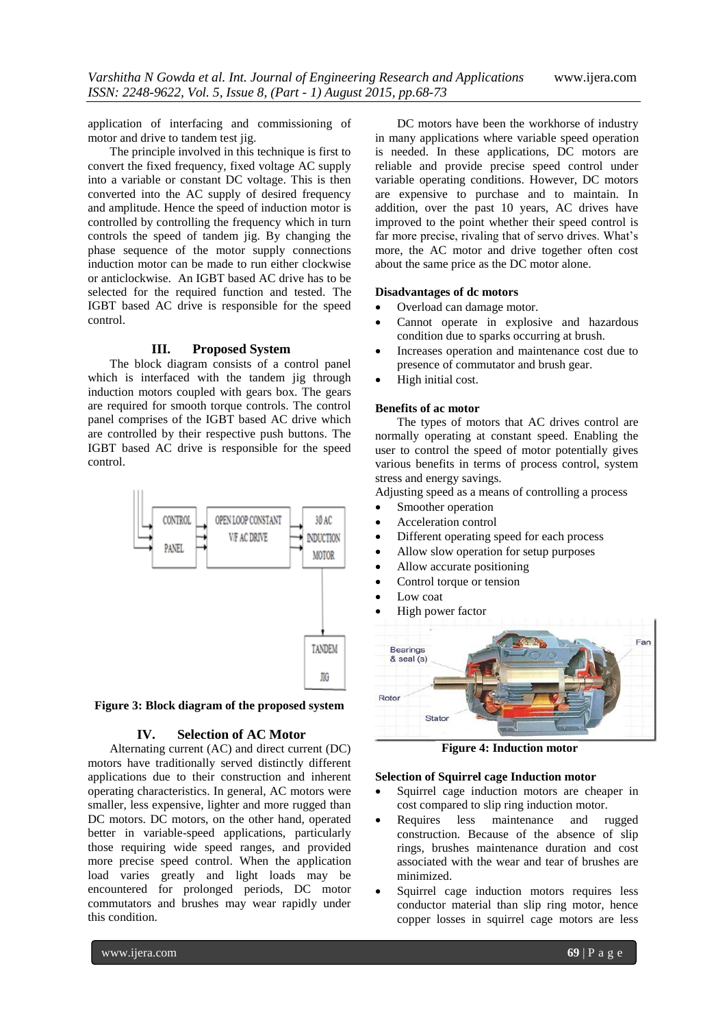application of interfacing and commissioning of motor and drive to tandem test jig.

The principle involved in this technique is first to convert the fixed frequency, fixed voltage AC supply into a variable or constant DC voltage. This is then converted into the AC supply of desired frequency and amplitude. Hence the speed of induction motor is controlled by controlling the frequency which in turn controls the speed of tandem jig. By changing the phase sequence of the motor supply connections induction motor can be made to run either clockwise or anticlockwise. An IGBT based AC drive has to be selected for the required function and tested. The IGBT based AC drive is responsible for the speed control.

#### **III. Proposed System**

The block diagram consists of a control panel which is interfaced with the tandem jig through induction motors coupled with gears box. The gears are required for smooth torque controls. The control panel comprises of the IGBT based AC drive which are controlled by their respective push buttons. The IGBT based AC drive is responsible for the speed control.



**Figure 3: Block diagram of the proposed system**

# **IV. Selection of AC Motor**

Alternating current (AC) and direct current (DC) motors have traditionally served distinctly different applications due to their construction and inherent operating characteristics. In general, AC motors were smaller, less expensive, lighter and more rugged than DC motors. DC motors, on the other hand, operated better in variable-speed applications, particularly those requiring wide speed ranges, and provided more precise speed control. When the application load varies greatly and light loads may be encountered for prolonged periods, DC motor commutators and brushes may wear rapidly under this condition.

DC motors have been the workhorse of industry in many applications where variable speed operation is needed. In these applications, DC motors are reliable and provide precise speed control under variable operating conditions. However, DC motors are expensive to purchase and to maintain. In addition, over the past 10 years, AC drives have improved to the point whether their speed control is far more precise, rivaling that of servo drives. What's more, the AC motor and drive together often cost about the same price as the DC motor alone.

# **Disadvantages of dc motors**

- Overload can damage motor.
- Cannot operate in explosive and hazardous condition due to sparks occurring at brush.
- Increases operation and maintenance cost due to presence of commutator and brush gear.
- High initial cost.

#### **Benefits of ac motor**

The types of motors that AC drives control are normally operating at constant speed. Enabling the user to control the speed of motor potentially gives various benefits in terms of process control, system stress and energy savings.

Adjusting speed as a means of controlling a process

- Smoother operation
- Acceleration control
- Different operating speed for each process
- Allow slow operation for setup purposes
- Allow accurate positioning
- Control torque or tension
- Low coat
- High power factor



**Figure 4: Induction motor**

#### **Selection of Squirrel cage Induction motor**

- Squirrel cage induction motors are cheaper in cost compared to slip ring induction motor.
- Requires less maintenance and rugged construction. Because of the absence of slip rings, brushes maintenance duration and cost associated with the wear and tear of brushes are minimized.
- Squirrel cage induction motors requires less conductor material than slip ring motor, hence copper losses in squirrel cage motors are less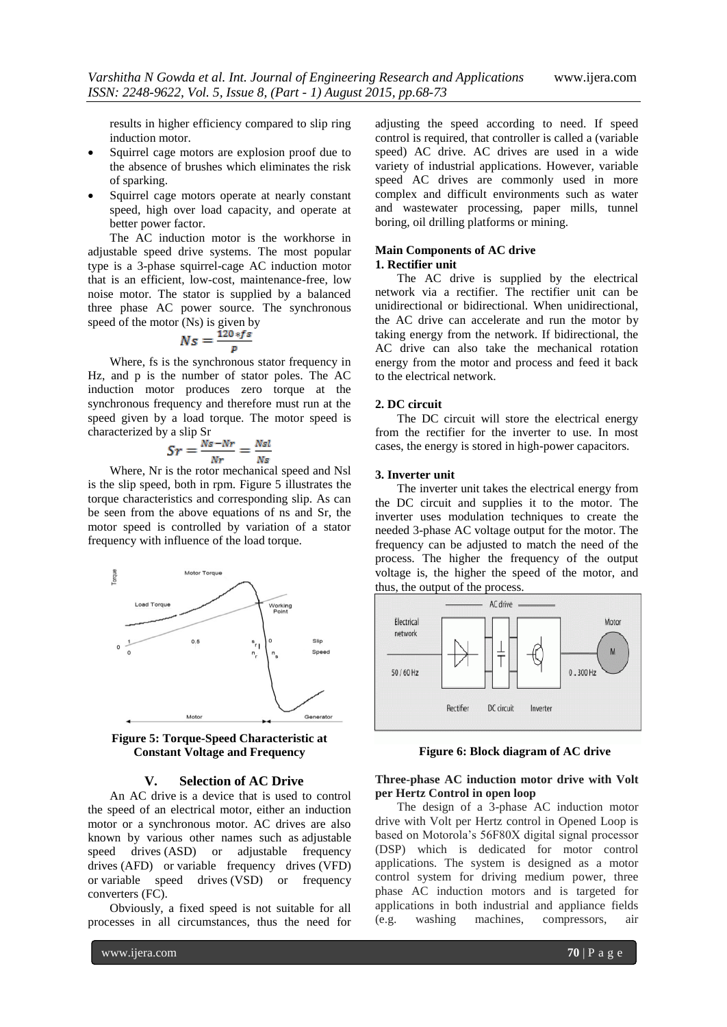results in higher efficiency compared to slip ring induction motor.

- Squirrel cage motors are explosion proof due to the absence of brushes which eliminates the risk of sparking.
- Squirrel cage motors operate at nearly constant speed, high over load capacity, and operate at better power factor.

The AC induction motor is the workhorse in adjustable speed drive systems. The most popular type is a 3-phase squirrel-cage AC induction motor that is an efficient, low-cost, maintenance-free, low noise motor. The stator is supplied by a balanced three phase AC power source. The synchronous speed of the motor (Ns) is given by

$$
N_S = \frac{120 * f s}{p}
$$

Where, fs is the synchronous stator frequency in Hz, and p is the number of stator poles. The AC induction motor produces zero torque at the synchronous frequency and therefore must run at the speed given by a load torque. The motor speed is characterized by a slip Sr

$$
Sr = \frac{Ns - Nr}{Nr} = \frac{Nsl}{Ns}
$$

Where, Nr is the rotor mechanical speed and Nsl is the slip speed, both in rpm. Figure 5 illustrates the torque characteristics and corresponding slip. As can be seen from the above equations of ns and Sr, the motor speed is controlled by variation of a stator frequency with influence of the load torque.



**Figure 5: Torque-Speed Characteristic at Constant Voltage and Frequency**

# **V. Selection of AC Drive**

An AC drive is a device that is used to control the speed of an electrical motor, either an induction motor or a synchronous motor. AC drives are also known by various other names such as adjustable speed drives (ASD) or adjustable frequency drives (AFD) or variable frequency drives (VFD) or variable speed drives (VSD) or frequency converters (FC).

Obviously, a fixed speed is not suitable for all processes in all circumstances, thus the need for

adjusting the speed according to need. If speed control is required, that controller is called a (variable speed) AC drive. AC drives are used in a wide variety of industrial applications. However, variable speed AC drives are commonly used in more complex and difficult environments such as water and wastewater processing, paper mills, tunnel boring, oil drilling platforms or mining.

# **Main Components of AC drive**

# **1. Rectifier unit**

The AC drive is supplied by the electrical network via a rectifier. The rectifier unit can be unidirectional or bidirectional. When unidirectional, the AC drive can accelerate and run the motor by taking energy from the network. If bidirectional, the AC drive can also take the mechanical rotation energy from the motor and process and feed it back to the electrical network.

#### **2. DC circuit**

The DC circuit will store the electrical energy from the rectifier for the inverter to use. In most cases, the energy is stored in high-power capacitors.

#### **3. Inverter unit**

The inverter unit takes the electrical energy from the DC circuit and supplies it to the motor. The inverter uses modulation techniques to create the needed 3-phase AC voltage output for the motor. The frequency can be adjusted to match the need of the process. The higher the frequency of the output voltage is, the higher the speed of the motor, and thus, the output of the process.



**Figure 6: Block diagram of AC drive**

#### **Three-phase AC induction motor drive with Volt per Hertz Control in open loop**

The design of a 3-phase AC induction motor drive with Volt per Hertz control in Opened Loop is based on Motorola's 56F80X digital signal processor (DSP) which is dedicated for motor control applications. The system is designed as a motor control system for driving medium power, three phase AC induction motors and is targeted for applications in both industrial and appliance fields (e.g. washing machines, compressors, air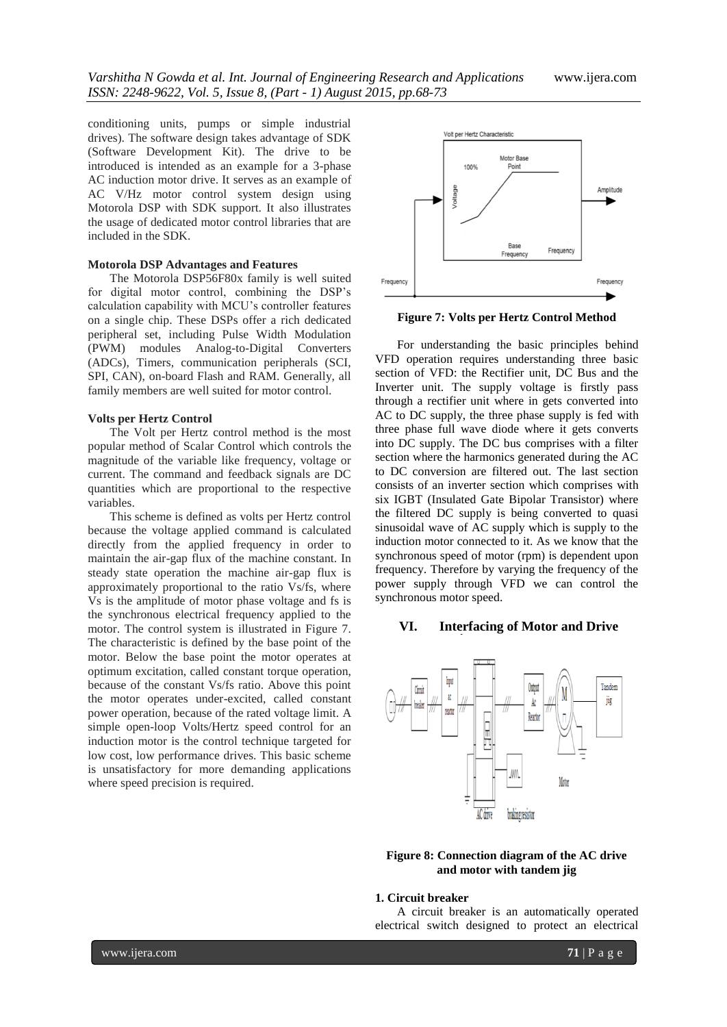conditioning units, pumps or simple industrial drives). The software design takes advantage of SDK (Software Development Kit). The drive to be introduced is intended as an example for a 3-phase AC induction motor drive. It serves as an example of AC V/Hz motor control system design using Motorola DSP with SDK support. It also illustrates the usage of dedicated motor control libraries that are included in the SDK.

# **Motorola DSP Advantages and Features**

The Motorola DSP56F80x family is well suited for digital motor control, combining the DSP's calculation capability with MCU's controller features on a single chip. These DSPs offer a rich dedicated peripheral set, including Pulse Width Modulation (PWM) modules Analog-to-Digital Converters (ADCs), Timers, communication peripherals (SCI, SPI, CAN), on-board Flash and RAM. Generally, all family members are well suited for motor control.

#### **Volts per Hertz Control**

The Volt per Hertz control method is the most popular method of Scalar Control which controls the magnitude of the variable like frequency, voltage or current. The command and feedback signals are DC quantities which are proportional to the respective variables.

This scheme is defined as volts per Hertz control because the voltage applied command is calculated directly from the applied frequency in order to maintain the air-gap flux of the machine constant. In steady state operation the machine air-gap flux is approximately proportional to the ratio Vs/fs, where Vs is the amplitude of motor phase voltage and fs is the synchronous electrical frequency applied to the motor. The control system is illustrated in Figure 7. The characteristic is defined by the base point of the motor. Below the base point the motor operates at optimum excitation, called constant torque operation, because of the constant Vs/fs ratio. Above this point the motor operates under-excited, called constant power operation, because of the rated voltage limit. A simple open-loop Volts/Hertz speed control for an induction motor is the control technique targeted for low cost, low performance drives. This basic scheme is unsatisfactory for more demanding applications where speed precision is required.



**Figure 7: Volts per Hertz Control Method**

For understanding the basic principles behind VFD operation requires understanding three basic section of VFD: the Rectifier unit, DC Bus and the Inverter unit. The supply voltage is firstly pass through a rectifier unit where in gets converted into AC to DC supply, the three phase supply is fed with three phase full wave diode where it gets converts into DC supply. The DC bus comprises with a filter section where the harmonics generated during the AC to DC conversion are filtered out. The last section consists of an inverter section which comprises with six IGBT (Insulated Gate Bipolar Transistor) where the filtered DC supply is being converted to quasi sinusoidal wave of AC supply which is supply to the induction motor connected to it. As we know that the synchronous speed of motor (rpm) is dependent upon frequency. Therefore by varying the frequency of the power supply through VFD we can control the synchronous motor speed.

#### **VI. Interfacing of Motor and Drive**



### **Figure 8: Connection diagram of the AC drive and motor with tandem jig**

#### **1. Circuit breaker**

A circuit breaker is an automatically operated electrical switch designed to protect an electrical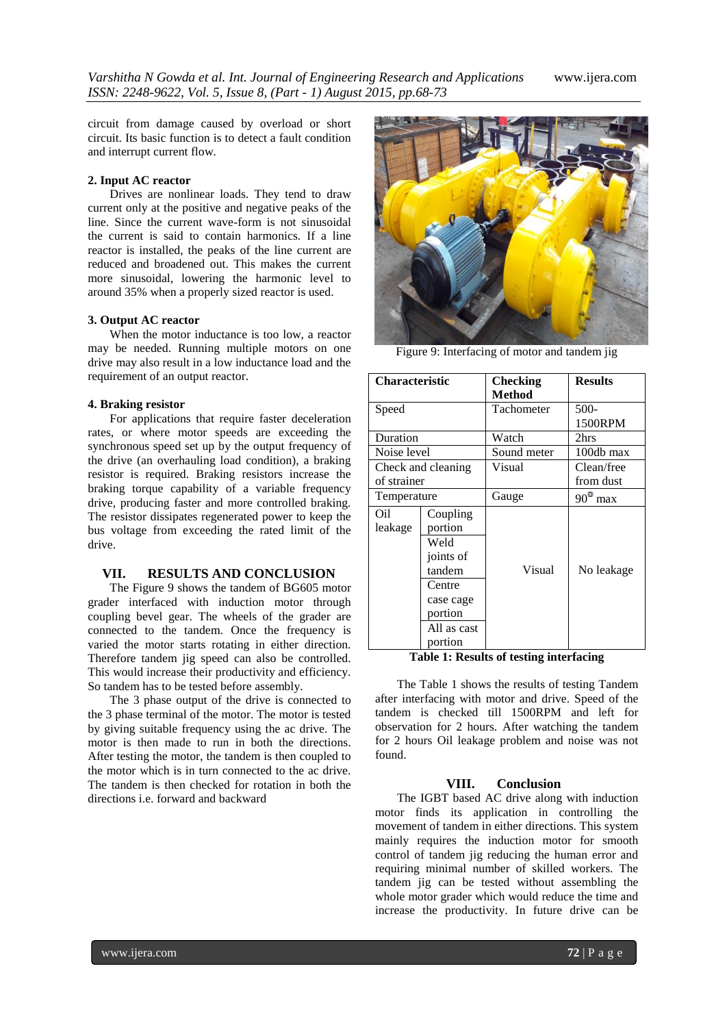*Varshitha N Gowda et al. Int. Journal of Engineering Research and Applications* www.ijera.com *ISSN: 2248-9622, Vol. 5, Issue 8, (Part - 1) August 2015, pp.68-73*

circuit from damage caused by overload or short circuit. Its basic function is to detect a fault condition and interrupt current flow.

# **2. Input AC reactor**

Drives are nonlinear loads. They tend to draw current only at the positive and negative peaks of the line. Since the current wave-form is not sinusoidal the current is said to contain harmonics. If a line reactor is installed, the peaks of the line current are reduced and broadened out. This makes the current more sinusoidal, lowering the harmonic level to around 35% when a properly sized reactor is used.

#### **3. Output AC reactor**

When the motor inductance is too low, a reactor may be needed. Running multiple motors on one drive may also result in a low inductance load and the requirement of an output reactor.

#### **4. Braking resistor**

For applications that require faster deceleration rates, or where motor speeds are exceeding the synchronous speed set up by the output frequency of the drive (an overhauling load condition), a braking resistor is required. Braking resistors increase the braking torque capability of a variable frequency drive, producing faster and more controlled braking. The resistor dissipates regenerated power to keep the bus voltage from exceeding the rated limit of the drive.

# **VII. RESULTS AND CONCLUSION**

The Figure 9 shows the tandem of BG605 motor grader interfaced with induction motor through coupling bevel gear. The wheels of the grader are connected to the tandem. Once the frequency is varied the motor starts rotating in either direction. Therefore tandem jig speed can also be controlled. This would increase their productivity and efficiency. So tandem has to be tested before assembly.

The 3 phase output of the drive is connected to the 3 phase terminal of the motor. The motor is tested by giving suitable frequency using the ac drive. The motor is then made to run in both the directions. After testing the motor, the tandem is then coupled to the motor which is in turn connected to the ac drive. The tandem is then checked for rotation in both the directions i.e. forward and backward



Figure 9: Interfacing of motor and tandem jig

| <b>Characteristic</b> |             | <b>Checking</b> | <b>Results</b>   |
|-----------------------|-------------|-----------------|------------------|
|                       |             | <b>Method</b>   |                  |
| Speed                 |             | Tachometer      | $500-$           |
|                       |             |                 | 1500RPM          |
| Duration              |             | Watch           | 2hrs             |
| Noise level           |             | Sound meter     | 100db max        |
| Check and cleaning    |             | Visual          | Clean/free       |
| of strainer           |             |                 | from dust        |
| Temperature           |             | Gauge           | $90^{\circ}$ max |
| Oil                   | Coupling    |                 |                  |
| leakage               | portion     |                 |                  |
|                       | Weld        |                 |                  |
|                       | joints of   |                 |                  |
|                       | tandem      | Visual          | No leakage       |
|                       | Centre      |                 |                  |
|                       | case cage   |                 |                  |
|                       | portion     |                 |                  |
|                       | All as cast |                 |                  |
|                       | portion     |                 |                  |

**Table 1: Results of testing interfacing**

The Table 1 shows the results of testing Tandem after interfacing with motor and drive. Speed of the tandem is checked till 1500RPM and left for observation for 2 hours. After watching the tandem for 2 hours Oil leakage problem and noise was not found.

#### **VIII. Conclusion**

The IGBT based AC drive along with induction motor finds its application in controlling the movement of tandem in either directions. This system mainly requires the induction motor for smooth control of tandem jig reducing the human error and requiring minimal number of skilled workers. The tandem jig can be tested without assembling the whole motor grader which would reduce the time and increase the productivity. In future drive can be